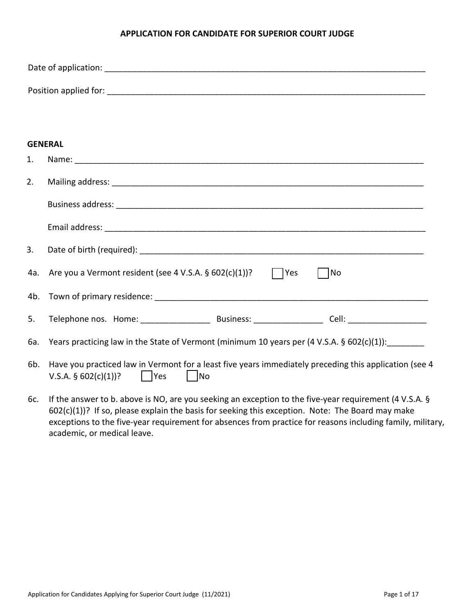#### **APPLICATION FOR CANDIDATE FOR SUPERIOR COURT JUDGE**

| <b>GENERAL</b> |                                                                                                                                                         |  |  |  |
|----------------|---------------------------------------------------------------------------------------------------------------------------------------------------------|--|--|--|
| 1.             |                                                                                                                                                         |  |  |  |
| 2.             |                                                                                                                                                         |  |  |  |
|                |                                                                                                                                                         |  |  |  |
|                |                                                                                                                                                         |  |  |  |
| 3.             |                                                                                                                                                         |  |  |  |
| 4a.            | Are you a Vermont resident (see 4 V.S.A. $\S$ 602(c)(1))? $\Box$ Yes<br>$\Box$ No                                                                       |  |  |  |
| 4b.            |                                                                                                                                                         |  |  |  |
| 5.             |                                                                                                                                                         |  |  |  |
| 6а.            | Years practicing law in the State of Vermont (minimum 10 years per (4 V.S.A. § 602(c)(1)): _______                                                      |  |  |  |
| 6b.            | Have you practiced law in Vermont for a least five years immediately preceding this application (see 4<br>      Yes<br>   No<br>V.S.A. $\S$ 602(c)(1))? |  |  |  |
|                | $6c$ If the answer to b, above is NO are vou seeking an exception to the five-vear requirement $(1)$ S A $\delta$                                       |  |  |  |

6c. If the answer to b. above is NO, are you seeking an exception to the five-year requirement (4 V.S.A. § 602(c)(1))? If so, please explain the basis for seeking this exception. Note: The Board may make exceptions to the five-year requirement for absences from practice for reasons including family, military, academic, or medical leave.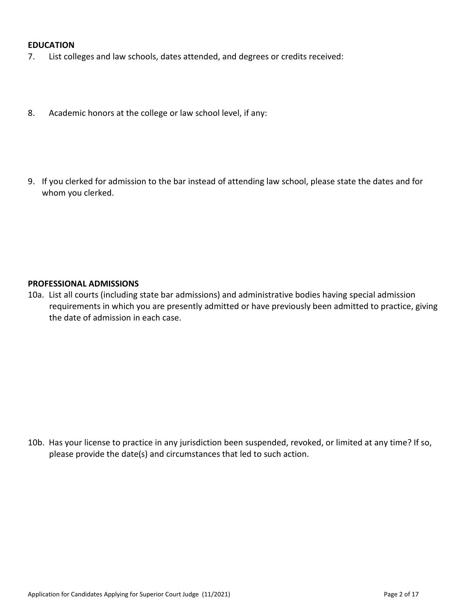#### **EDUCATION**

- 7. List colleges and law schools, dates attended, and degrees or credits received:
- 8. Academic honors at the college or law school level, if any:
- 9. If you clerked for admission to the bar instead of attending law school, please state the dates and for whom you clerked.

#### **PROFESSIONAL ADMISSIONS**

10a. List all courts (including state bar admissions) and administrative bodies having special admission requirements in which you are presently admitted or have previously been admitted to practice, giving the date of admission in each case.

10b. Has your license to practice in any jurisdiction been suspended, revoked, or limited at any time? If so, please provide the date(s) and circumstances that led to such action.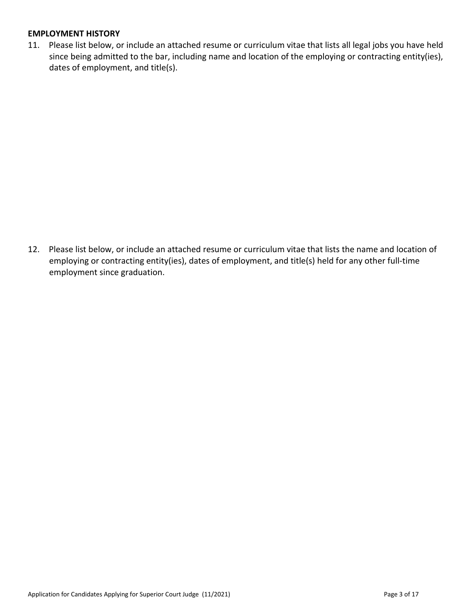## **EMPLOYMENT HISTORY**

11. Please list below, or include an attached resume or curriculum vitae that lists all legal jobs you have held since being admitted to the bar, including name and location of the employing or contracting entity(ies), dates of employment, and title(s).

12. Please list below, or include an attached resume or curriculum vitae that lists the name and location of employing or contracting entity(ies), dates of employment, and title(s) held for any other full-time employment since graduation.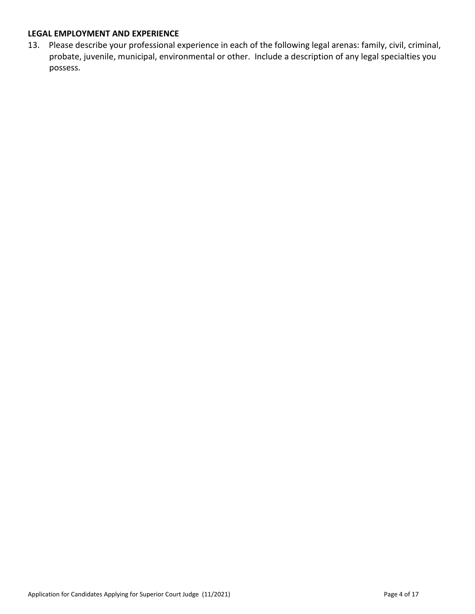## **LEGAL EMPLOYMENT AND EXPERIENCE**

13. Please describe your professional experience in each of the following legal arenas: family, civil, criminal, probate, juvenile, municipal, environmental or other. Include a description of any legal specialties you possess.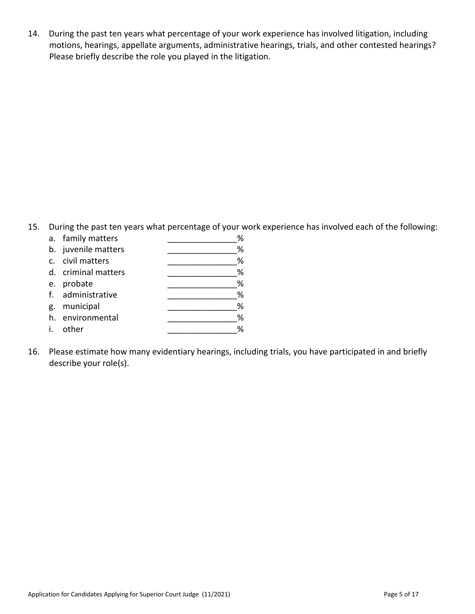14. During the past ten years what percentage of your work experience has involved litigation, including motions, hearings, appellate arguments, administrative hearings, trials, and other contested hearings? Please briefly describe the role you played in the litigation.

15. During the past ten years what percentage of your work experience has involved each of the following:

|    | a. family matters   | % |
|----|---------------------|---|
|    | b. juvenile matters | % |
|    | c. civil matters    | % |
|    | d. criminal matters | % |
|    | e. probate          | % |
|    | f. administrative   | % |
| g. | municipal           | % |
|    | h. environmental    | % |
| i. | other               | % |
|    |                     |   |

16. Please estimate how many evidentiary hearings, including trials, you have participated in and briefly describe your role(s).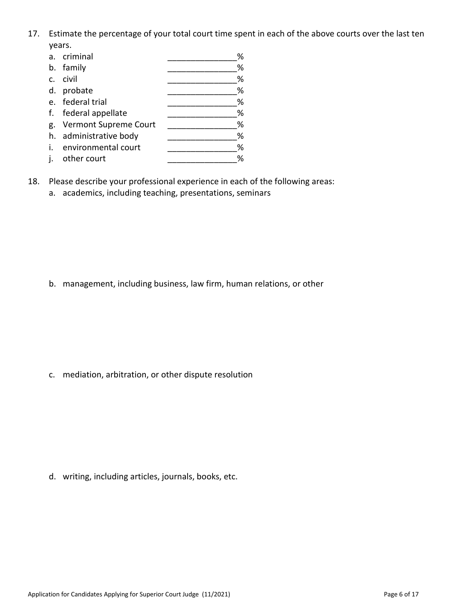17. Estimate the percentage of your total court time spent in each of the above courts over the last ten years.

|    | a. criminal              | % |
|----|--------------------------|---|
|    | b. family                | % |
| c. | civil                    | % |
|    | d. probate               | % |
|    | e. federal trial         | % |
|    | f. federal appellate     | % |
|    | g. Vermont Supreme Court | % |
|    | h. administrative body   | % |
|    | i. environmental court   | % |
| j. | other court              | % |

- 18. Please describe your professional experience in each of the following areas:
	- a. academics, including teaching, presentations, seminars

b. management, including business, law firm, human relations, or other

c. mediation, arbitration, or other dispute resolution

d. writing, including articles, journals, books, etc.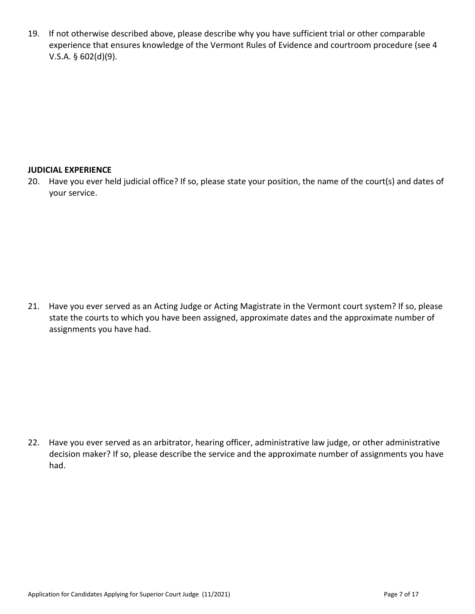19. If not otherwise described above, please describe why you have sufficient trial or other comparable experience that ensures knowledge of the Vermont Rules of Evidence and courtroom procedure (see 4 V.S.A. § 602(d)(9).

## **JUDICIAL EXPERIENCE**

20. Have you ever held judicial office? If so, please state your position, the name of the court(s) and dates of your service.

21. Have you ever served as an Acting Judge or Acting Magistrate in the Vermont court system? If so, please state the courts to which you have been assigned, approximate dates and the approximate number of assignments you have had.

22. Have you ever served as an arbitrator, hearing officer, administrative law judge, or other administrative decision maker? If so, please describe the service and the approximate number of assignments you have had.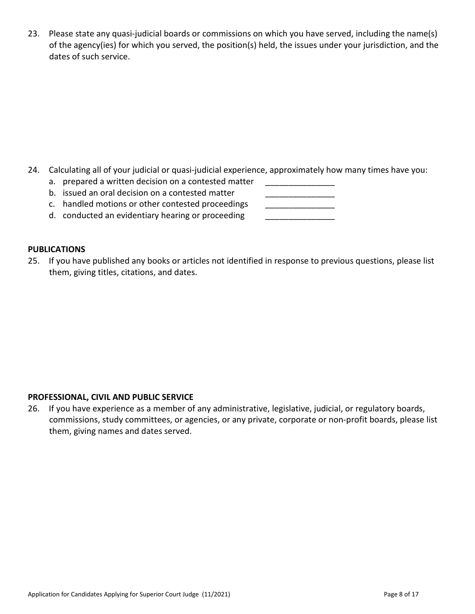23. Please state any quasi-judicial boards or commissions on which you have served, including the name(s) of the agency(ies) for which you served, the position(s) held, the issues under your jurisdiction, and the dates of such service.

- 24. Calculating all of your judicial or quasi-judicial experience, approximately how many times have you:
	- a. prepared a written decision on a contested matter
	- b. issued an oral decision on a contested matter
	- c. handled motions or other contested proceedings \_\_\_\_\_\_\_\_\_\_\_\_\_\_\_\_\_\_\_\_\_\_\_\_\_\_\_\_\_\_
	- d. conducted an evidentiary hearing or proceeding

## **PUBLICATIONS**

25. If you have published any books or articles not identified in response to previous questions, please list them, giving titles, citations, and dates.

## **PROFESSIONAL, CIVIL AND PUBLIC SERVICE**

26. If you have experience as a member of any administrative, legislative, judicial, or regulatory boards, commissions, study committees, or agencies, or any private, corporate or non-profit boards, please list them, giving names and dates served.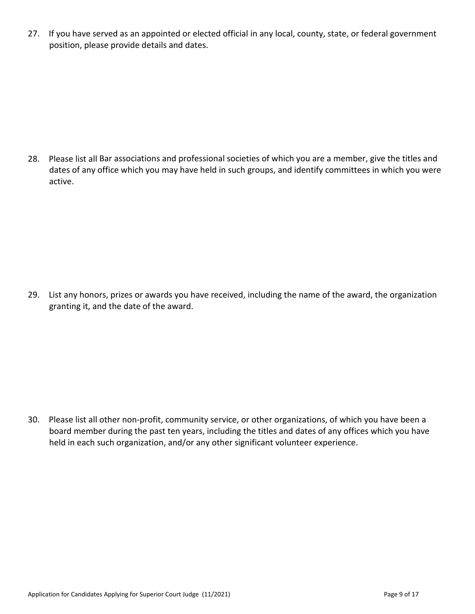27. If you have served as an appointed or elected official in any local, county, state, or federal government position, please provide details and dates.

28. Please list all Bar associations and professional societies of which you are a member, give the titles and dates of any office which you may have held in such groups, and identify committees in which you were active.

29. List any honors, prizes or awards you have received, including the name of the award, the organization granting it, and the date of the award.

30. Please list all other non-profit, community service, or other organizations, of which you have been a board member during the past ten years, including the titles and dates of any offices which you have held in each such organization, and/or any other significant volunteer experience.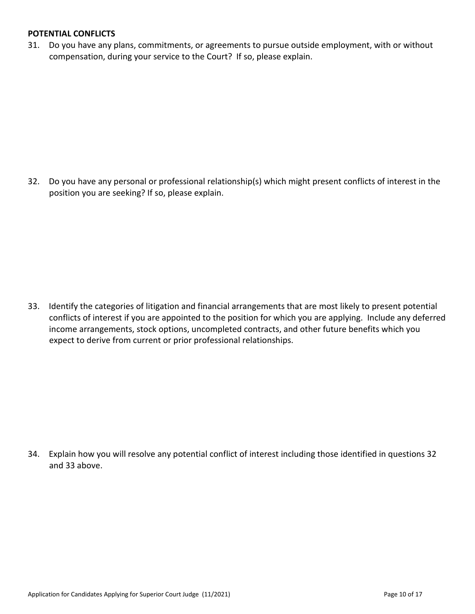#### **POTENTIAL CONFLICTS**

31. Do you have any plans, commitments, or agreements to pursue outside employment, with or without compensation, during your service to the Court? If so, please explain.

32. Do you have any personal or professional relationship(s) which might present conflicts of interest in the position you are seeking? If so, please explain.

33. Identify the categories of litigation and financial arrangements that are most likely to present potential conflicts of interest if you are appointed to the position for which you are applying. Include any deferred income arrangements, stock options, uncompleted contracts, and other future benefits which you expect to derive from current or prior professional relationships.

34. Explain how you will resolve any potential conflict of interest including those identified in questions 32 and 33 above.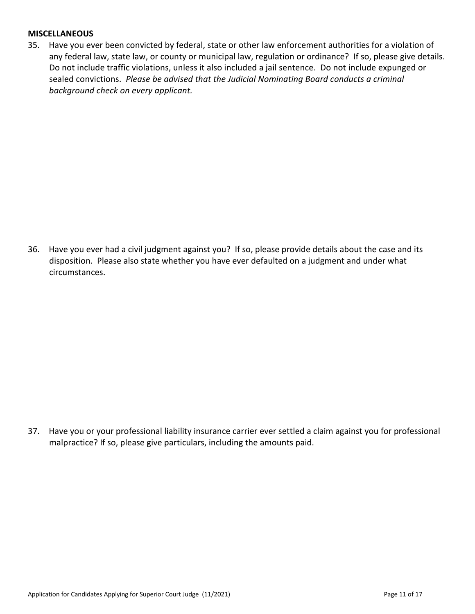#### **MISCELLANEOUS**

35. Have you ever been convicted by federal, state or other law enforcement authorities for a violation of any federal law, state law, or county or municipal law, regulation or ordinance? If so, please give details. Do not include traffic violations, unless it also included a jail sentence. Do not include expunged or sealed convictions. *Please be advised that the Judicial Nominating Board conducts a criminal background check on every applicant.*

36. Have you ever had a civil judgment against you? If so, please provide details about the case and its disposition. Please also state whether you have ever defaulted on a judgment and under what circumstances.

37. Have you or your professional liability insurance carrier ever settled a claim against you for professional malpractice? If so, please give particulars, including the amounts paid.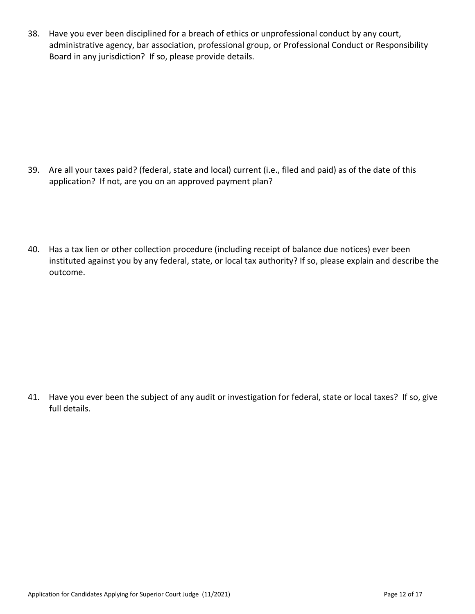38. Have you ever been disciplined for a breach of ethics or unprofessional conduct by any court, administrative agency, bar association, professional group, or Professional Conduct or Responsibility Board in any jurisdiction? If so, please provide details.

- 39. Are all your taxes paid? (federal, state and local) current (i.e., filed and paid) as of the date of this application? If not, are you on an approved payment plan?
- 40. Has a tax lien or other collection procedure (including receipt of balance due notices) ever been instituted against you by any federal, state, or local tax authority? If so, please explain and describe the outcome.

41. Have you ever been the subject of any audit or investigation for federal, state or local taxes? If so, give full details.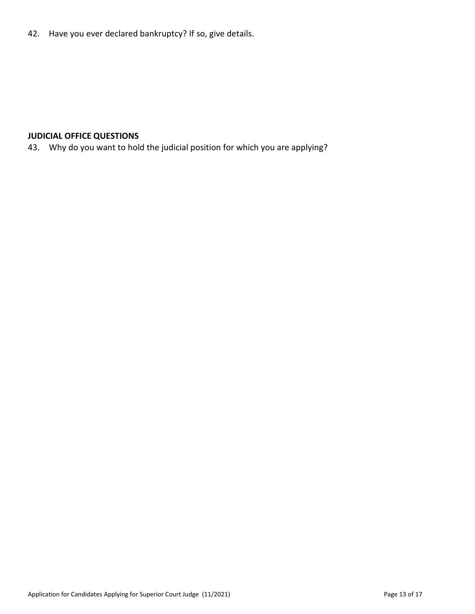42. Have you ever declared bankruptcy? If so, give details.

# **JUDICIAL OFFICE QUESTIONS**

43. Why do you want to hold the judicial position for which you are applying?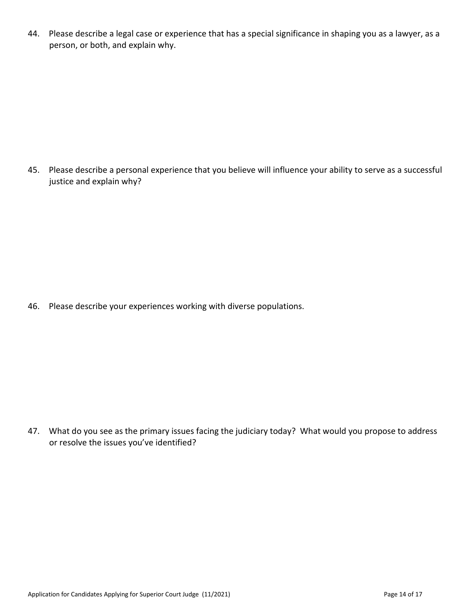44. Please describe a legal case or experience that has a special significance in shaping you as a lawyer, as a person, or both, and explain why.

45. Please describe a personal experience that you believe will influence your ability to serve as a successful justice and explain why?

46. Please describe your experiences working with diverse populations.

47. What do you see as the primary issues facing the judiciary today? What would you propose to address or resolve the issues you've identified?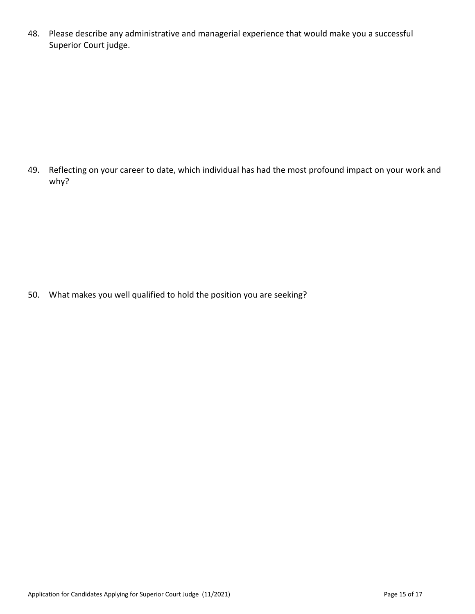48. Please describe any administrative and managerial experience that would make you a successful Superior Court judge.

49. Reflecting on your career to date, which individual has had the most profound impact on your work and why?

50. What makes you well qualified to hold the position you are seeking?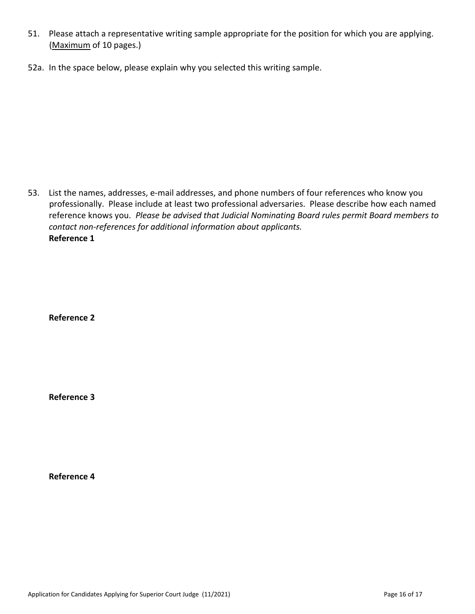- 51. Please attach a representative writing sample appropriate for the position for which you are applying. (Maximum of 10 pages.)
- 52a. In the space below, please explain why you selected this writing sample.

53. List the names, addresses, e-mail addresses, and phone numbers of four references who know you professionally. Please include at least two professional adversaries. Please describe how each named reference knows you. *Please be advised that Judicial Nominating Board rules permit Board members to contact non-references for additional information about applicants.* **Reference 1**

**Reference 2** 

**Reference 3**

**Reference 4**